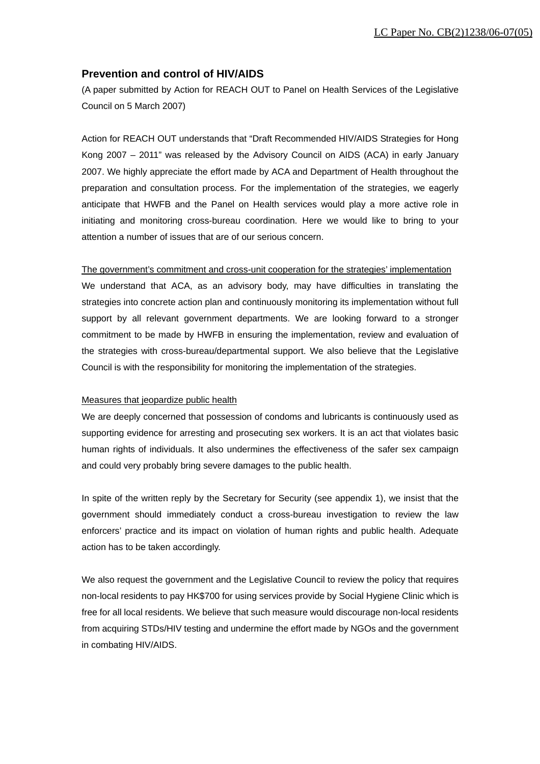## **Prevention and control of HIV/AIDS**

(A paper submitted by Action for REACH OUT to Panel on Health Services of the Legislative Council on 5 March 2007)

Action for REACH OUT understands that "Draft Recommended HIV/AIDS Strategies for Hong Kong 2007 – 2011" was released by the Advisory Council on AIDS (ACA) in early January 2007. We highly appreciate the effort made by ACA and Department of Health throughout the preparation and consultation process. For the implementation of the strategies, we eagerly anticipate that HWFB and the Panel on Health services would play a more active role in initiating and monitoring cross-bureau coordination. Here we would like to bring to your attention a number of issues that are of our serious concern.

## The government's commitment and cross-unit cooperation for the strategies' implementation

We understand that ACA, as an advisory body, may have difficulties in translating the strategies into concrete action plan and continuously monitoring its implementation without full support by all relevant government departments. We are looking forward to a stronger commitment to be made by HWFB in ensuring the implementation, review and evaluation of the strategies with cross-bureau/departmental support. We also believe that the Legislative Council is with the responsibility for monitoring the implementation of the strategies.

## Measures that jeopardize public health

We are deeply concerned that possession of condoms and lubricants is continuously used as supporting evidence for arresting and prosecuting sex workers. It is an act that violates basic human rights of individuals. It also undermines the effectiveness of the safer sex campaign and could very probably bring severe damages to the public health.

In spite of the written reply by the Secretary for Security (see appendix 1), we insist that the government should immediately conduct a cross-bureau investigation to review the law enforcers' practice and its impact on violation of human rights and public health. Adequate action has to be taken accordingly.

We also request the government and the Legislative Council to review the policy that requires non-local residents to pay HK\$700 for using services provide by Social Hygiene Clinic which is free for all local residents. We believe that such measure would discourage non-local residents from acquiring STDs/HIV testing and undermine the effort made by NGOs and the government in combating HIV/AIDS.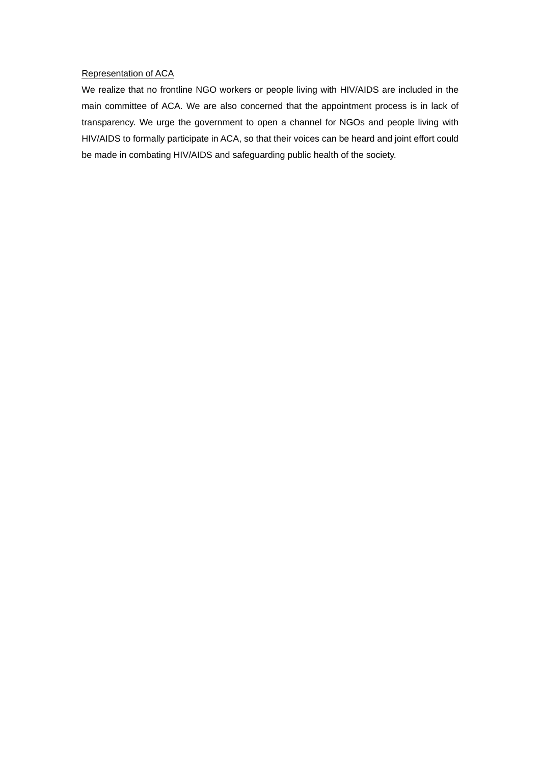## Representation of ACA

We realize that no frontline NGO workers or people living with HIV/AIDS are included in the main committee of ACA. We are also concerned that the appointment process is in lack of transparency. We urge the government to open a channel for NGOs and people living with HIV/AIDS to formally participate in ACA, so that their voices can be heard and joint effort could be made in combating HIV/AIDS and safeguarding public health of the society.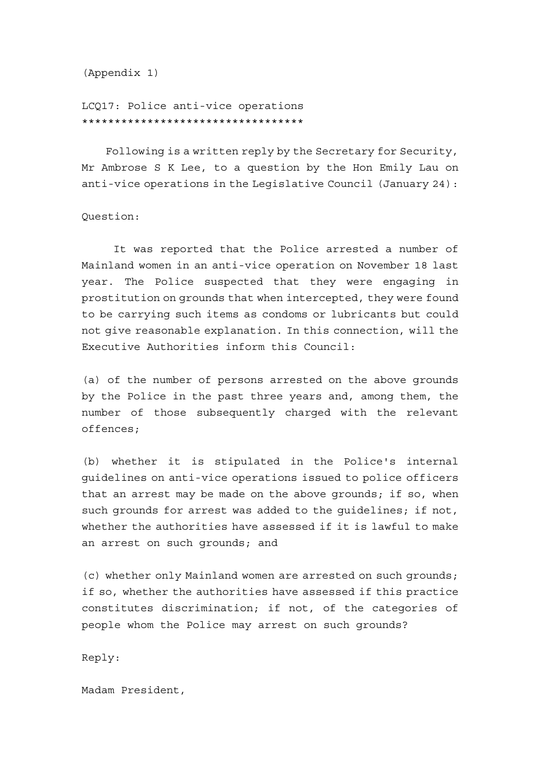(Appendix 1)

LCQ17: Police anti-vice operations \*\*\*\*\*\*\*\*\*\*\*\*\*\*\*\*\*\*\*\*\*\*\*\*\*\*\*\*\*\*\*\*\*\*

 Following is a written reply by the Secretary for Security, Mr Ambrose S K Lee, to a question by the Hon Emily Lau on anti-vice operations in the Legislative Council (January 24):

Question:

 It was reported that the Police arrested a number of Mainland women in an anti-vice operation on November 18 last year. The Police suspected that they were engaging in prostitution on grounds that when intercepted, they were found to be carrying such items as condoms or lubricants but could not give reasonable explanation. In this connection, will the Executive Authorities inform this Council:

(a) of the number of persons arrested on the above grounds by the Police in the past three years and, among them, the number of those subsequently charged with the relevant offences;

(b) whether it is stipulated in the Police's internal guidelines on anti-vice operations issued to police officers that an arrest may be made on the above grounds; if so, when such grounds for arrest was added to the guidelines; if not, whether the authorities have assessed if it is lawful to make an arrest on such grounds; and

(c) whether only Mainland women are arrested on such grounds; if so, whether the authorities have assessed if this practice constitutes discrimination; if not, of the categories of people whom the Police may arrest on such grounds?

Reply:

Madam President,